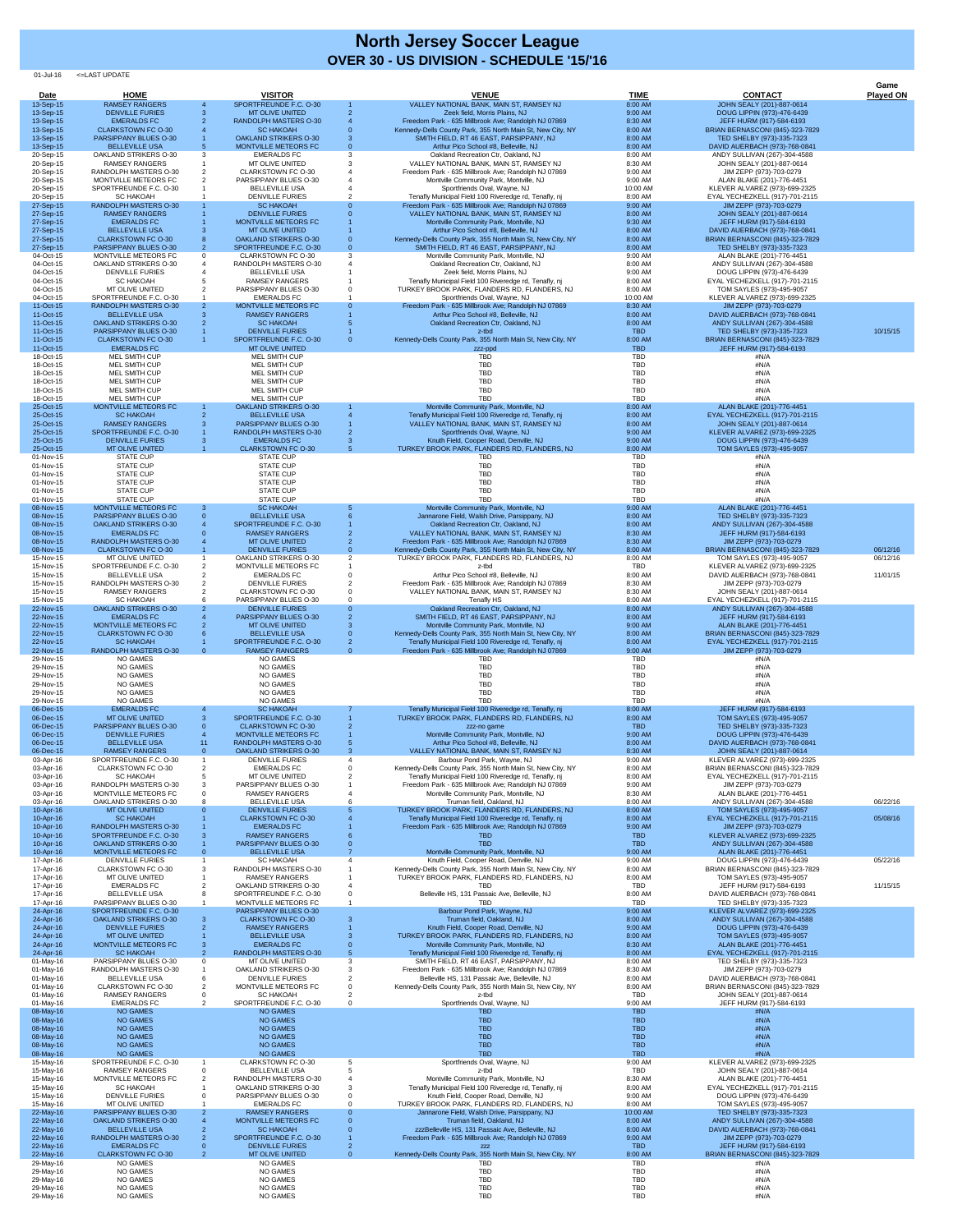01-Jul-16 <=LAST UPDATE

|                              |                                                             |                                                              |          |                                                                                                                     |                          |                                                                          | Game             |
|------------------------------|-------------------------------------------------------------|--------------------------------------------------------------|----------|---------------------------------------------------------------------------------------------------------------------|--------------------------|--------------------------------------------------------------------------|------------------|
| <b>Date</b><br>13-Sep-15     | <b>HOME</b><br><b>RAMSEY RANGERS</b>                        | <b>VISITOR</b><br>SPORTFREUNDE F.C. O-30                     |          | <b>VENUE</b><br>VALLEY NATIONAL BANK, MAIN ST, RAMSEY NJ                                                            | <b>TIME</b><br>8:00 AM   | <b>CONTACT</b><br>JOHN SEALY (201)-887-0614                              | <u>Played ON</u> |
| 13-Sep-15                    | <b>DENVILLE FURIES</b>                                      | <b>MT OLIVE UNITED</b>                                       |          | Zeek field, Morris Plains, NJ                                                                                       | 9:00 AM                  | DOUG LIPPIN (973)-476-6439                                               |                  |
| 13-Sep-15<br>13-Sep-15       | <b>EMERALDS FC</b><br><b>CLARKSTOWN FC O-30</b>             | <b>RANDOLPH MASTERS O-30</b><br><b>SC HAKOAH</b>             |          | Freedom Park - 635 Millbrook Ave; Randolph NJ 07869<br>Kennedy-Dells County Park, 355 North Main St, New City, NY   | 8:30 AM<br>8:00 AM       | JEFF HURM (917)-584-6193<br><b>BRIAN BERNASCONI (845)-323-7829</b>       |                  |
| 13-Sep-15                    | PARSIPPANY BLUES O-30                                       | <b>OAKLAND STRIKERS O-30</b>                                 |          | SMITH FIELD, RT 46 EAST, PARSIPPANY, NJ                                                                             | 8:00 AM                  | TED SHELBY (973)-335-7323                                                |                  |
| 13-Sep-15<br>20-Sep-15       | <b>BELLEVILLE USA</b><br><b>OAKLAND STRIKERS O-30</b>       | <b>MONTVILLE METEORS FC</b><br><b>EMERALDS FC</b>            |          | Arthur Pico School #8, Belleville, NJ<br>Oakland Recreation Ctr, Oakland, NJ                                        | 8:00 AM<br>8:00 AM       | DAVID AUERBACH (973)-768-0841<br>ANDY SULLIVAN (267)-304-4588            |                  |
| 20-Sep-15<br>20-Sep-15       | <b>RAMSEY RANGERS</b><br>RANDOLPH MASTERS O-30              | MT OLIVE UNITED<br><b>CLARKSTOWN FC O-30</b>                 |          | VALLEY NATIONAL BANK, MAIN ST, RAMSEY NJ<br>Freedom Park - 635 Millbrook Ave; Randolph NJ 07869                     | 8:30 AM<br>9:00 AM       | JOHN SEALY (201)-887-0614<br>JIM ZEPP (973)-703-0279                     |                  |
| 20-Sep-15                    | MONTVILLE METEORS FC                                        | PARSIPPANY BLUES O-30                                        |          | Montville Community Park, Montville, NJ                                                                             | 9:00 AM                  | ALAN BLAKE (201)-776-4451                                                |                  |
| 20-Sep-15<br>20-Sep-15       | SPORTFREUNDE F.C. O-30<br><b>SC HAKOAH</b>                  | <b>BELLEVILLE USA</b><br><b>DENVILLE FURIES</b>              |          | Sportfriends Oval, Wayne, NJ<br>Tenafly Municipal Field 100 Riveredge rd, Tenafly, nj                               | 10:00 AM<br>8:00 AM      | KLEVER ALVAREZ (973)-699-2325<br>EYAL YECHEZKELL (917)-701-2115          |                  |
| 27-Sep-15                    | <b>RANDOLPH MASTERS O-30</b>                                | <b>SC HAKOAH</b>                                             |          | Freedom Park - 635 Millbrook Ave; Randolph NJ 07869                                                                 | 9:00 AM                  | JIM ZEPP (973)-703-0279                                                  |                  |
| 27-Sep-15<br>27-Sep-15       | <b>RAMSEY RANGERS</b><br><b>EMERALDS FC</b>                 | <b>DENVILLE FURIES</b><br>MONTVILLE METEORS FC               |          | VALLEY NATIONAL BANK, MAIN ST, RAMSEY NJ<br>Montville Community Park, Montville, NJ                                 | 8:00 AM<br>9:30 AM       | JOHN SEALY (201)-887-0614<br>JEFF HURM (917)-584-6193                    |                  |
| 27-Sep-15                    | <b>BELLEVILLE USA</b>                                       | <b>MT OLIVE UNITED</b>                                       |          | Arthur Pico School #8, Belleville, NJ                                                                               | 8:00 AM                  | DAVID AUERBACH (973)-768-0841                                            |                  |
| 27-Sep-15<br>27-Sep-15       | <b>CLARKSTOWN FC O-30</b><br>PARSIPPANY BLUES O-30          | <b>OAKLAND STRIKERS O-30</b><br>SPORTFREUNDE F.C. O-30       |          | Kennedy-Dells County Park, 355 North Main St, New City, NY<br>SMITH FIELD, RT 46 EAST, PARSIPPANY, NJ               | 8:00 AM<br>8:00 AM       | <b>BRIAN BERNASCONI (845)-323-7829</b><br>TED SHELBY (973)-335-7323      |                  |
| 04-Oct-15<br>04-Oct-15       | MONTVILLE METEORS FC<br><b>OAKLAND STRIKERS O-30</b>        | <b>CLARKSTOWN FC O-30</b><br>RANDOLPH MASTERS O-30           |          | Montville Community Park, Montville, NJ<br>Oakland Recreation Ctr, Oakland, NJ                                      | 9:00 AM<br>8:00 AM       | ALAN BLAKE (201)-776-4451<br>ANDY SULLIVAN (267)-304-4588                |                  |
| 04-Oct-15                    | <b>DENVILLE FURIES</b>                                      | <b>BELLEVILLE USA</b>                                        |          | Zeek field, Morris Plains, NJ                                                                                       | 9:00 AM                  | DOUG LIPPIN (973)-476-6439                                               |                  |
| 04-Oct-15<br>04-Oct-15       | <b>SC HAKOAH</b><br><b>MT OLIVE UNITED</b>                  | <b>RAMSEY RANGERS</b><br>PARSIPPANY BLUES O-30               |          | Tenafly Municipal Field 100 Riveredge rd, Tenafly, nj<br>TURKEY BROOK PARK, FLANDERS RD, FLANDERS, NJ               | 8:00 AM<br>8:00 AM       | EYAL YECHEZKELL (917)-701-2115<br>TOM SAYLES (973)-495-9057              |                  |
| 04-Oct-15                    | SPORTFREUNDE F.C. O-30                                      | <b>EMERALDS FC</b>                                           |          | Sportfriends Oval, Wayne, NJ                                                                                        | 10:00 AM                 | KLEVER ALVAREZ (973)-699-2325                                            |                  |
| 11-Oct-15<br>11-Oct-15       | <b>RANDOLPH MASTERS O-30</b><br><b>BELLEVILLE USA</b>       | <b>MONTVILLE METEORS FC</b><br><b>RAMSEY RANGERS</b>         |          | Freedom Park - 635 Millbrook Ave; Randolph NJ 07869<br>Arthur Pico School #8, Belleville, NJ                        | 8:30 AM<br>8:00 AM       | JIM ZEPP (973)-703-0279<br>DAVID AUERBACH (973)-768-0841                 |                  |
| 11-Oct-15                    | <b>OAKLAND STRIKERS O-30</b>                                | <b>SC HAKOAH</b>                                             |          | Oakland Recreation Ctr, Oakland, NJ                                                                                 | 8:00 AM                  | ANDY SULLIVAN (267)-304-4588                                             |                  |
| 11-Oct-15<br>11-Oct-15       | <b>PARSIPPANY BLUES O-30</b><br><b>CLARKSTOWN FC O-30</b>   | <b>DENVILLE FURIES</b><br>SPORTFREUNDE F.C. O-30             |          | z-tbd<br>Kennedy-Dells County Park, 355 North Main St, New City, NY                                                 | <b>TBD</b><br>8:00 AM    | TED SHELBY (973)-335-7323<br><b>BRIAN BERNASCONI (845)-323-7829</b>      | 10/15/15         |
| 11-Oct-15                    | <b>EMERALDS FC</b>                                          | <b>MT OLIVE UNITED</b>                                       |          | zzz-ppd                                                                                                             | <b>TBD</b>               | JEFF HURM (917)-584-6193                                                 |                  |
| 18-Oct-15<br>18-Oct-15       | <b>MEL SMITH CUP</b><br>MEL SMITH CUP                       | <b>MEL SMITH CUP</b><br>MEL SMITH CUP                        |          | <b>TBD</b><br><b>TBD</b>                                                                                            | <b>TBD</b><br><b>TBD</b> | #N/A<br>#N/A                                                             |                  |
| 18-Oct-15<br>18-Oct-15       | <b>MEL SMITH CUP</b><br><b>MEL SMITH CUP</b>                | MEL SMITH CUP<br>MEL SMITH CUP                               |          | <b>TBD</b><br><b>TBD</b>                                                                                            | <b>TBD</b><br><b>TBD</b> | #N/A<br>#N/A                                                             |                  |
| 18-Oct-15                    | <b>MEL SMITH CUP</b>                                        | MEL SMITH CUP                                                |          | <b>TBD</b>                                                                                                          | <b>TBD</b>               | #N/A                                                                     |                  |
| 18-Oct-15<br>25-Oct-15       | <b>MEL SMITH CUP</b><br>MONTVILLE METEORS FC                | <b>MEL SMITH CUP</b><br><b>OAKLAND STRIKERS O-30</b>         |          | <b>TBD</b><br>Montville Community Park, Montville, NJ                                                               | <b>TBD</b><br>8:00 AM    | #N/A<br>ALAN BLAKE (201)-776-4451                                        |                  |
| 25-Oct-15                    | <b>SC HAKOAH</b>                                            | <b>BELLEVILLE USA</b>                                        |          | Tenafly Municipal Field 100 Riveredge rd, Tenafly, nj                                                               | 8:00 AM                  | EYAL YECHEZKELL (917)-701-2115                                           |                  |
| 25-Oct-15<br>25-Oct-15       | <b>RAMSEY RANGERS</b><br>SPORTFREUNDE F.C. O-30             | <b>PARSIPPANY BLUES O-30</b><br><b>RANDOLPH MASTERS O-30</b> |          | VALLEY NATIONAL BANK, MAIN ST, RAMSEY NJ<br>Sportfriends Oval, Wayne, NJ                                            | 8:00 AM<br>9:00 AM       | JOHN SEALY (201)-887-0614<br>KLEVER ALVAREZ (973)-699-2325               |                  |
| 25-Oct-15                    | <b>DENVILLE FURIES</b>                                      | <b>EMERALDS FC</b>                                           |          | Knuth Field, Cooper Road, Denville, NJ                                                                              | 9:00 AM                  | DOUG LIPPIN (973)-476-6439                                               |                  |
| 25-Oct-15<br>01-Nov-15       | <b>MT OLIVE UNITED</b><br><b>STATE CUP</b>                  | <b>CLARKSTOWN FC O-30</b><br><b>STATE CUP</b>                |          | TURKEY BROOK PARK, FLANDERS RD, FLANDERS, NJ<br>TBD                                                                 | 8:00 AM<br><b>TBD</b>    | TOM SAYLES (973)-495-9057<br>#N/A                                        |                  |
| 01-Nov-15<br>01-Nov-15       | <b>STATE CUP</b><br><b>STATE CUP</b>                        | <b>STATE CUP</b><br><b>STATE CUP</b>                         |          | <b>TBD</b><br><b>TBD</b>                                                                                            | <b>TBD</b><br><b>TBD</b> | #N/A<br>#N/A                                                             |                  |
| 01-Nov-15                    | <b>STATE CUP</b>                                            | <b>STATE CUP</b>                                             |          | <b>TBD</b>                                                                                                          | <b>TBD</b>               | #N/A                                                                     |                  |
| 01-Nov-15<br>01-Nov-15       | <b>STATE CUP</b><br><b>STATE CUP</b>                        | <b>STATE CUP</b><br><b>STATE CUP</b>                         |          | <b>TBD</b><br><b>TBD</b>                                                                                            | <b>TBD</b><br><b>TBD</b> | #N/A<br>#N/A                                                             |                  |
| 08-Nov-15                    | MONTVILLE METEORS FC                                        | <b>SC HAKOAH</b>                                             |          | Montville Community Park, Montville, NJ                                                                             | 9:00 AM                  | ALAN BLAKE (201)-776-4451                                                |                  |
| 08-Nov-15<br>08-Nov-15       | PARSIPPANY BLUES O-30<br><b>OAKLAND STRIKERS O-30</b>       | <b>BELLEVILLE USA</b><br>SPORTFREUNDE F.C. O-30              |          | Jannarone Field, Walsh Drive, Parsippany, NJ<br>Oakland Recreation Ctr, Oakland, NJ                                 | 8:00 AM<br>8:00 AM       | TED SHELBY (973)-335-7323<br>ANDY SULLIVAN (267)-304-4588                |                  |
| 08-Nov-15                    | <b>EMERALDS FC</b>                                          | <b>RAMSEY RANGERS</b>                                        |          | VALLEY NATIONAL BANK, MAIN ST, RAMSEY NJ                                                                            | 8:30 AM                  | JEFF HURM (917)-584-6193                                                 |                  |
| 08-Nov-15<br>08-Nov-15       | <b>RANDOLPH MASTERS O-30</b><br><b>CLARKSTOWN FC O-30</b>   | <b>MT OLIVE UNITED</b><br><b>DENVILLE FURIES</b>             |          | Freedom Park - 635 Millbrook Ave; Randolph NJ 07869<br>Kennedy-Dells County Park, 355 North Main St, New City, NY   | 8:30 AM<br>8:00 AM       | JIM ZEPP (973)-703-0279<br><b>BRIAN BERNASCONI (845)-323-7829</b>        | 06/12/16         |
| 15-Nov-15                    | <b>MT OLIVE UNITED</b>                                      | <b>OAKLAND STRIKERS O-30</b>                                 |          | TURKEY BROOK PARK, FLANDERS RD, FLANDERS, NJ                                                                        | 8:00 AM                  | TOM SAYLES (973)-495-9057                                                | 06/12/16         |
| 15-Nov-15<br>15-Nov-15       | SPORTFREUNDE F.C. O-30<br><b>BELLEVILLE USA</b>             | MONTVILLE METEORS FC<br><b>EMERALDS FC</b>                   |          | z-tbd<br>Arthur Pico School #8, Belleville, NJ                                                                      | <b>TBD</b><br>8:00 AM    | KLEVER ALVAREZ (973)-699-2325<br>DAVID AUERBACH (973)-768-0841           | 11/01/15         |
| 15-Nov-15<br>15-Nov-15       | RANDOLPH MASTERS O-30<br><b>RAMSEY RANGERS</b>              | <b>DENVILLE FURIES</b><br><b>CLARKSTOWN FC O-30</b>          |          | Freedom Park - 635 Millbrook Ave; Randolph NJ 07869<br>VALLEY NATIONAL BANK, MAIN ST, RAMSEY NJ                     | 8:30 AM<br>8:30 AM       | JIM ZEPP (973)-703-0279<br>JOHN SEALY (201)-887-0614                     |                  |
| 15-Nov-15                    | <b>SC HAKOAH</b>                                            | PARSIPPANY BLUES O-30                                        |          | <b>Tenafly HS</b>                                                                                                   | 8:00 AM                  | EYAL YECHEZKELL (917)-701-2115                                           |                  |
| 22-Nov-15<br>22-Nov-15       | <b>OAKLAND STRIKERS O-30</b><br><b>EMERALDS FC</b>          | <b>DENVILLE FURIES</b><br><b>PARSIPPANY BLUES O-30</b>       |          | Oakland Recreation Ctr, Oakland, NJ<br>SMITH FIELD, RT 46 EAST, PARSIPPANY, NJ                                      | 8:00 AM<br>8:00 AM       | ANDY SULLIVAN (267)-304-4588<br>JEFF HURM (917)-584-6193                 |                  |
| 22-Nov-15                    | MONTVILLE METEORS FC                                        | <b>MT OLIVE UNITED</b>                                       |          | Montville Community Park, Montville, NJ                                                                             | 9:00 AM                  | ALAN BLAKE (201)-776-4451                                                |                  |
| 22-Nov-15<br>22-Nov-15       | <b>CLARKSTOWN FC O-30</b><br><b>SC HAKOAH</b>               | <b>BELLEVILLE USA</b><br>SPORTFREUNDE F.C. O-30              |          | Kennedy-Dells County Park, 355 North Main St, New City, NY<br>Tenafly Municipal Field 100 Riveredge rd, Tenafly, nj | 8:00 AM<br>8:00 AM       | <b>BRIAN BERNASCONI (845)-323-7829</b><br>EYAL YECHEZKELL (917)-701-2115 |                  |
| 22-Nov-15                    | <b>RANDOLPH MASTERS O-30</b>                                | <b>RAMSEY RANGERS</b>                                        | $\Omega$ | Freedom Park - 635 Millbrook Ave; Randolph NJ 07869                                                                 | 9:00 AM                  | JIM ZEPP (973)-703-0279                                                  |                  |
| 29-Nov-15<br>29-Nov-15       | NO GAMES<br><b>NO GAMES</b>                                 | <b>NO GAMES</b><br><b>NO GAMES</b>                           |          | TBD<br><b>TBD</b>                                                                                                   | <b>TBD</b><br><b>TBD</b> | #N/A<br>#N/A                                                             |                  |
| 29-Nov-15<br>29-Nov-15       | NO GAMES<br>NO GAMES                                        | <b>NO GAMES</b><br><b>NO GAMES</b>                           |          | <b>TBD</b><br><b>TBD</b>                                                                                            | <b>TBD</b><br>TBD        | #N/A<br>#N/A                                                             |                  |
| 29-Nov-15                    | <b>NO GAMES</b>                                             | <b>NO GAMES</b>                                              |          | <b>TBD</b>                                                                                                          | <b>TBD</b>               | #N/A                                                                     |                  |
| 29-Nov-15<br>06-Dec-15       | <b>NO GAMES</b><br><b>EMERALDS FC</b>                       | <b>NO GAMES</b><br><b>SC HAKOAH</b>                          |          | <b>TBD</b><br>Tenafly Municipal Field 100 Riveredge rd, Tenafly, nj                                                 | <b>TBD</b><br>8:00 AM    | #N/A<br>JEFF HURM (917)-584-6193                                         |                  |
| 06-Dec-15                    | <b>MT OLIVE UNITED</b>                                      | SPORTFREUNDE F.C. O-30                                       |          | TURKEY BROOK PARK, FLANDERS RD, FLANDERS, NJ                                                                        | 8:00 AM                  | TOM SAYLES (973)-495-9057                                                |                  |
| 06-Dec-15<br>06-Dec-15       | PARSIPPANY BLUES O-30<br><b>DENVILLE FURIES</b>             | <b>CLARKSTOWN FC O-30</b><br><b>MONTVILLE METEORS FC</b>     |          | zzz-no game<br>Montville Community Park, Montville, NJ                                                              | <b>TBD</b><br>9:00 AM    | TED SHELBY (973)-335-7323<br>DOUG LIPPIN (973)-476-6439                  |                  |
| 06-Dec-15                    | <b>BELLEVILLE USA</b>                                       | 11<br><b>RANDOLPH MASTERS O-30</b>                           |          | Arthur Pico School #8, Belleville, NJ                                                                               | 8:00 AM                  | DAVID AUERBACH (973)-768-0841                                            |                  |
| 06-Dec-15<br>03-Apr-16       | <b>RAMSEY RANGERS</b><br>SPORTFREUNDE F.C. O-30             | <b>OAKLAND STRIKERS O-30</b><br>DENVILLE FURIES              |          | VALLEY NATIONAL BANK, MAIN ST, RAMSEY NJ<br>Barbour Pond Park, Wayne, NJ                                            | 8:30 AM<br>9:00 AM       | JOHN SEALY (201)-887-0614<br>KLEVER ALVAREZ (973)-699-2325               |                  |
| 03-Apr-16                    | <b>CLARKSTOWN FC O-30</b><br><b>SC HAKOAH</b>               | <b>EMERALDS FC</b><br>MT OLIVE UNITED                        |          | Kennedy-Dells County Park, 355 North Main St, New City, NY<br>Tenafly Municipal Field 100 Riveredge rd, Tenafly, nj | 8:00 AM<br>8:00 AM       | BRIAN BERNASCONI (845)-323-7829                                          |                  |
| 03-Apr-16<br>03-Apr-16       | <b>RANDOLPH MASTERS O-30</b>                                | <b>PARSIPPANY BLUES O-30</b>                                 |          | Freedom Park - 635 Millbrook Ave; Randolph NJ 07869                                                                 | 9:00 AM                  | EYAL YECHEZKELL (917)-701-2115<br>JIM ZEPP (973)-703-0279                |                  |
| 03-Apr-16<br>03-Apr-16       | MONTVILLE METEORS FC<br><b>OAKLAND STRIKERS O-30</b>        | <b>RAMSEY RANGERS</b><br><b>BELLEVILLE USA</b>               |          | Montville Community Park, Montville, NJ<br>Truman field, Oakland, NJ                                                | 8:30 AM<br>8:00 AM       | ALAN BLAKE (201)-776-4451<br>ANDY SULLIVAN (267)-304-4588                | 06/22/16         |
| 10-Apr-16                    | <b>MT OLIVE UNITED</b>                                      | <b>DENVILLE FURIES</b>                                       |          | TURKEY BROOK PARK, FLANDERS RD, FLANDERS, NJ                                                                        | 8:00 AM                  | TOM SAYLES (973)-495-9057                                                |                  |
| 10-Apr-16<br>10-Apr-16       | <b>SC HAKOAH</b><br><b>RANDOLPH MASTERS O-30</b>            | <b>CLARKSTOWN FC O-30</b><br><b>EMERALDS FC</b>              |          | Tenafly Municipal Field 100 Riveredge rd, Tenafly, nj<br>Freedom Park - 635 Millbrook Ave; Randolph NJ 07869        | 8:00 AM<br>9:00 AM       | EYAL YECHEZKELL (917)-701-2115<br>JIM ZEPP (973)-703-0279                | 05/08/16         |
| 10-Apr-16                    | SPORTFREUNDE F.C. O-30                                      | <b>RAMSEY RANGERS</b>                                        |          | <b>TBD</b>                                                                                                          | <b>TBD</b>               | KLEVER ALVAREZ (973)-699-2325                                            |                  |
| $10 - Apr - 16$<br>10-Apr-16 | <b>OAKLAND STRIKERS O-30</b><br><b>MONTVILLE METEORS FC</b> | PARSIPPANY BLUES 0-30<br><b>BELLEVILLE USA</b>               |          | <b>TBD</b><br>Montville Community Park, Montville, NJ                                                               | <b>TBD</b><br>9:00 AM    | ANDY SULLIVAN (267)-304-4588<br>ALAN BLAKE (201)-776-4451                |                  |
| 17-Apr-16                    | <b>DENVILLE FURIES</b>                                      | <b>SC HAKOAH</b>                                             |          | Knuth Field, Cooper Road, Denville, NJ                                                                              | 9:00 AM                  | DOUG LIPPIN (973)-476-6439                                               | 05/22/16         |
| 17-Apr-16<br>17-Apr-16       | <b>CLARKSTOWN FC O-30</b><br>MT OLIVE UNITED                | RANDOLPH MASTERS O-30<br><b>RAMSEY RANGERS</b>               |          | Kennedy-Dells County Park, 355 North Main St, New City, NY<br>TURKEY BROOK PARK, FLANDERS RD, FLANDERS, NJ          | 8:00 AM<br>8:00 AM       | BRIAN BERNASCONI (845)-323-7829<br>TOM SAYLES (973)-495-9057             |                  |
| 17-Apr-16<br>17-Apr-16       | <b>EMERALDS FC</b><br><b>BELLEVILLE USA</b>                 | <b>OAKLAND STRIKERS O-30</b><br>SPORTFREUNDE F.C. O-30       |          | <b>TBD</b><br>Belleville HS, 131 Passaic Ave, Belleville, NJ                                                        | <b>TBD</b><br>8:00 AM    | JEFF HURM (917)-584-6193<br>DAVID AUERBACH (973)-768-0841                | 11/15/15         |
| 17-Apr-16                    | PARSIPPANY BLUES 0-30                                       | MONTVILLE METEORS FC                                         |          | TBD                                                                                                                 | <b>TBD</b>               | TED SHELBY (973)-335-7323                                                |                  |
| 24-Apr-16<br>24-Apr-16       | SPORTFREUNDE F.C. O-30<br><b>OAKLAND STRIKERS O-30</b>      | <b>PARSIPPANY BLUES O-30</b><br><b>CLARKSTOWN FC O-30</b>    |          | Barbour Pond Park, Wayne, NJ<br>Truman field, Oakland, NJ                                                           | 9:00 AM<br>8:00 AM       | KLEVER ALVAREZ (973)-699-2325<br>ANDY SULLIVAN (267)-304-4588            |                  |
| 24-Apr-16                    | <b>DENVILLE FURIES</b>                                      | <b>RAMSEY RANGERS</b>                                        |          | Knuth Field, Cooper Road, Denville, NJ                                                                              | 9:00 AM                  | DOUG LIPPIN (973)-476-6439                                               |                  |
| 24-Apr-16<br>24-Apr-16       | <b>MT OLIVE UNITED</b><br>MONTVILLE METEORS FC              | <b>BELLEVILLE USA</b><br><b>EMERALDS FC</b>                  |          | TURKEY BROOK PARK, FLANDERS RD, FLANDERS, NJ<br>Montville Community Park, Montville, NJ                             | 8:00 AM<br>8:30 AM       | TOM SAYLES (973)-495-9057<br>ALAN BLAKE (201)-776-4451                   |                  |
| 24-Apr-16                    | <b>SC HAKOAH</b><br>PARSIPPANY BLUES O-30                   | RANDOLPH MASTERS O-30<br>MT OLIVE UNITED                     |          | Tenafly Municipal Field 100 Riveredge rd, Tenafly, nj<br>SMITH FIELD, RT 46 EAST, PARSIPPANY, NJ                    | 8:00 AM<br>8:00 AM       | EYAL YECHEZKELL (917)-701-2115                                           |                  |
| 01-May-16<br>01-May-16       | RANDOLPH MASTERS O-30                                       | <b>OAKLAND STRIKERS O-30</b>                                 |          | Freedom Park - 635 Millbrook Ave; Randolph NJ 07869                                                                 | 8:30 AM                  | TED SHELBY (973)-335-7323<br>JIM ZEPP (973)-703-0279                     |                  |
| 01-May-16<br>01-May-16       | <b>BELLEVILLE USA</b><br><b>CLARKSTOWN FC O-30</b>          | <b>DENVILLE FURIES</b><br>MONTVILLE METEORS FC               |          | Belleville HS, 131 Passaic Ave, Belleville, NJ<br>Kennedy-Dells County Park, 355 North Main St, New City, NY        | 8:00 AM<br>8:00 AM       | DAVID AUERBACH (973)-768-0841<br>BRIAN BERNASCONI (845)-323-7829         |                  |
| 01-May-16                    | <b>RAMSEY RANGERS</b>                                       | <b>SC HAKOAH</b>                                             |          | z-tbd                                                                                                               | <b>TBD</b>               | JOHN SEALY (201)-887-0614                                                |                  |
| 01-May-16<br>08-May-16       | <b>EMERALDS FC</b><br>NO GAMES                              | SPORTFREUNDE F.C. O-30<br><b>NO GAMES</b>                    |          | Sportfriends Oval, Wayne, NJ<br><b>TBD</b>                                                                          | 9:00 AM<br><b>TBD</b>    | JEFF HURM (917)-584-6193<br>#N/A                                         |                  |
| 08-May-16                    | NO GAMES                                                    | <b>NO GAMES</b>                                              |          | <b>TBD</b>                                                                                                          | <b>TBD</b>               | #N/A                                                                     |                  |
| 08-May-16<br>08-May-16       | NO GAMES<br><b>NO GAMES</b>                                 | <b>NO GAMES</b><br><b>NO GAMES</b>                           |          | <b>TBD</b><br><b>TBD</b>                                                                                            | <b>TBD</b><br><b>TBD</b> | #N/A<br>#N/A                                                             |                  |
| 08-May-16                    | NO GAMES                                                    | <b>NO GAMES</b>                                              |          | <b>TBD</b>                                                                                                          | <b>TBD</b>               | #N/A                                                                     |                  |
| 08-May-16<br>15-May-16       | <b>NO GAMES</b><br>SPORTFREUNDE F.C. O-30                   | <b>NO GAMES</b><br><b>CLARKSTOWN FC O-30</b>                 |          | <b>TBD</b><br>Sportfriends Oval, Wayne, NJ                                                                          | <b>TBD</b><br>9:00 AM    | #N/A<br>KLEVER ALVAREZ (973)-699-2325                                    |                  |
| 15-May-16<br>15-May-16       | <b>RAMSEY RANGERS</b><br>MONTVILLE METEORS FC               | <b>BELLEVILLE USA</b><br>RANDOLPH MASTERS O-30               |          | z-tbd<br>Montville Community Park, Montville, NJ                                                                    | <b>TBD</b><br>8:30 AM    | JOHN SEALY (201)-887-0614<br>ALAN BLAKE (201)-776-4451                   |                  |
| 15-May-16                    | <b>SC HAKOAH</b>                                            | <b>OAKLAND STRIKERS O-30</b>                                 |          | Tenafly Municipal Field 100 Riveredge rd, Tenafly, nj                                                               | 8:00 AM                  | EYAL YECHEZKELL (917)-701-2115                                           |                  |
| 15-May-16<br>15-May-16       | <b>DENVILLE FURIES</b><br>MT OLIVE UNITED                   | PARSIPPANY BLUES O-30<br><b>EMERALDS FC</b>                  |          | Knuth Field, Cooper Road, Denville, NJ<br>TURKEY BROOK PARK, FLANDERS RD, FLANDERS, NJ                              | 9:00 AM<br>8:00 AM       | DOUG LIPPIN (973)-476-6439<br>TOM SAYLES (973)-495-9057                  |                  |
| 22-May-16                    | PARSIPPANY BLUES O-30                                       | <b>RAMSEY RANGERS</b>                                        |          | Jannarone Field, Walsh Drive, Parsippany, NJ                                                                        | 10:00 AM                 | TED SHELBY (973)-335-7323                                                |                  |
| 22-May-16<br>22-May-16       | <b>OAKLAND STRIKERS O-30</b><br><b>BELLEVILLE USA</b>       | MONTVILLE METEORS FC<br><b>SC HAKOAH</b>                     |          | Truman field, Oakland, NJ<br>zzzBelleville HS, 131 Passaic Ave, Belleville, NJ                                      | 8:00 AM<br>8:00 AM       | ANDY SULLIVAN (267)-304-4588<br>DAVID AUERBACH (973)-768-0841            |                  |
| 22-May-16                    | <b>RANDOLPH MASTERS O-30</b>                                | SPORTFREUNDE F.C. O-30                                       |          | Freedom Park - 635 Millbrook Ave; Randolph NJ 07869                                                                 | 9:00 AM                  | JIM ZEPP (973)-703-0279                                                  |                  |
| 22-May-16<br>22-May-16       | <b>EMERALDS FC</b><br><b>CLARKSTOWN FC O-30</b>             | <b>DENVILLE FURIES</b><br>MT OLIVE UNITED                    | $\Omega$ | ZZZ<br>Kennedy-Dells County Park, 355 North Main St, New City, NY                                                   | <b>TBD</b><br>8:00 AM    | JEFF HURM (917)-584-6193<br>BRIAN BERNASCONI (845)-323-7829              |                  |
| 29-May-16<br>29-May-16       | NO GAMES<br>NO GAMES                                        | <b>NO GAMES</b><br>NO GAMES                                  |          | TBD.<br><b>TBD</b>                                                                                                  | <b>TBD</b><br><b>TBD</b> | #N/A<br>#N/A                                                             |                  |
| 29-May-16                    | NO GAMES                                                    | NO GAMES                                                     |          | <b>TBD</b>                                                                                                          | <b>TBD</b>               | #N/A                                                                     |                  |
| 29-May-16<br>29-May-16       | NO GAMES<br>NO GAMES                                        | <b>NO GAMES</b><br><b>NO GAMES</b>                           |          | <b>TBD</b><br>TBD                                                                                                   | <b>TBD</b><br><b>TBD</b> | #N/A<br>#N/A                                                             |                  |

## **OVER 30 - US DIVISION - SCHEDULE '15/'16 North Jersey Soccer League**